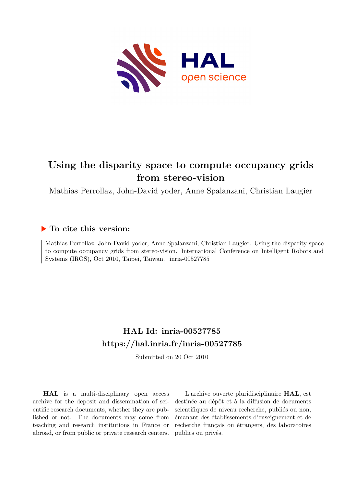

# **Using the disparity space to compute occupancy grids from stereo-vision**

Mathias Perrollaz, John-David yoder, Anne Spalanzani, Christian Laugier

# **To cite this version:**

Mathias Perrollaz, John-David yoder, Anne Spalanzani, Christian Laugier. Using the disparity space to compute occupancy grids from stereo-vision. International Conference on Intelligent Robots and Systems (IROS), Oct 2010, Taipei, Taiwan. inria-00527785

# **HAL Id: inria-00527785 <https://hal.inria.fr/inria-00527785>**

Submitted on 20 Oct 2010

**HAL** is a multi-disciplinary open access archive for the deposit and dissemination of scientific research documents, whether they are published or not. The documents may come from teaching and research institutions in France or abroad, or from public or private research centers.

L'archive ouverte pluridisciplinaire **HAL**, est destinée au dépôt et à la diffusion de documents scientifiques de niveau recherche, publiés ou non, émanant des établissements d'enseignement et de recherche français ou étrangers, des laboratoires publics ou privés.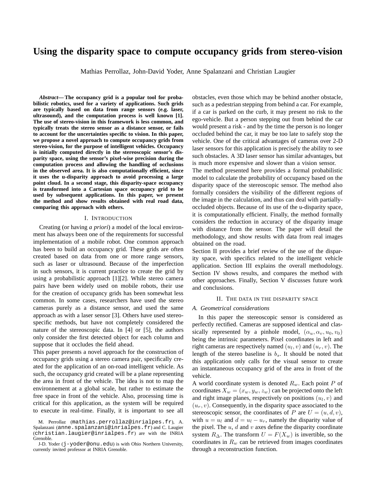# **Using the disparity space to compute occupancy grids from stereo-vision**

Mathias Perrollaz, John-David Yoder, Anne Spalanzani and Christian Laugier

*Abstract***— The occupancy grid is a popular tool for probabilistic robotics, used for a variety of applications. Such grids are typically based on data from range sensors (e.g. laser, ultrasound), and the computation process is well known [1]. The use of stereo-vision in this framework is less common, and typically treats the stereo sensor as a distance sensor, or fails to account for the uncertainties specific to vision. In this paper, we propose a novel approach to compute occupancy grids from stereo-vision, for the purpose of intelligent vehicles. Occupancy is initially computed directly in the stereoscopic sensor's disparity space, using the sensor's pixel-wise precision during the computation process and allowing the handling of occlusions in the observed area. It is also computationally efficient, since it uses the u-disparity approach to avoid processing a large point cloud. In a second stage, this disparity-space occupancy is transformed into a Cartesian space occupancy grid to be used by subsequent applications. In this paper, we present the method and show results obtained with real road data, comparing this approach with others.**

#### I. INTRODUCTION

Creating (or having *a priori*) a model of the local environment has always been one of the requirements for successful implementation of a mobile robot. One common approach has been to build an occupancy grid. These grids are often created based on data from one or more range sensors, such as laser or ultrasound. Because of the imperfection in such sensors, it is current practice to create the grid by using a probabilistic approach [1][2]. While stereo camera pairs have been widely used on mobile robots, their use for the creation of occupancy grids has been somewhat less common. In some cases, researchers have used the stereo cameras purely as a distance sensor, and used the same approach as with a laser sensor [3]. Others have used stereospecific methods, but have not completely considered the nature of the stereoscopic data. In [4] or [5], the authors only consider the first detected object for each column and suppose that it occludes the field ahead.

This paper presents a novel approach for the construction of occupancy grids using a stereo camera pair, specifically created for the application of an on-road intelligent vehicle. As such, the occupancy grid created will be a plane representing the area in front of the vehicle. The idea is not to map the environnement at a global scale, but rather to estimate the free space in front of the vehicle. Also, processing time is critical for this application, as the system will be required to execute in real-time. Finally, it is important to see all obstacles, even those which may be behind another obstacle, such as a pedestrian stepping from behind a car. For example, if a car is parked on the curb, it may present no risk to the ego-vehicle. But a person stepping out from behind the car would present a risk - and by the time the person is no longer occluded behind the car, it may be too late to safely stop the vehicle. One of the critical advantages of cameras over 2-D laser sensors for this application is precisely the ability to see such obstacles. A 3D laser sensor has similar advantages, but is much more expensive and slower than a vision sensor.

The method presented here provides a formal probabilistic model to calculate the probability of occupancy based on the disparity space of the stereoscopic sensor. The method also formally considers the visibility of the different regions of the image in the calculation, and thus can deal with partiallyoccluded objects. Because of its use of the u-disparity space, it is computationally efficient. Finally, the method formally considers the reduction in accuracy of the disparity image with distance from the sensor. The paper will detail the methodology, and show results with data from real images obtained on the road.

Section II provides a brief review of the use of the disparity space, with specifics related to the intelligent vehicle application. Section III explains the overall methodology. Section IV shows results, and compares the method with other approaches. Finally, Section V discusses future work and conclusions.

#### II. THE DATA IN THE DISPARITY SPACE

#### *A. Geometrical considerations*

In this paper the stereoscopic sensor is considered as perfectly rectified. Cameras are supposed identical and classically represented by a pinhole model,  $(\alpha_u, \alpha_v, u_0, v_0)$ being the intrinsic parameters. Pixel coordinates in left and right cameras are respectively named  $(u_l, v)$  and  $(u_r, v)$ . The length of the stereo baseline is  $b_s$ . It should be noted that this application only calls for the visual sensor to create an instantaneous occupancy grid of the area in front of the vehicle.

A world coordinate system is denoted  $R_w$ . Each point P of coordinates  $X_w = (x_w, y_w, z_w)$  can be projected onto the left and right image planes, respectively on positions  $(u_l, v)$  and  $(u_r, v)$ . Consequently, in the disparity space associated to the stereoscopic sensor, the coordinates of P are  $U = (u, d, v)$ , with  $u = u_l$  and  $d = u_l - u_r$ , namely the disparity value of the pixel. The  $u, d$  and  $v$  axes define the disparity coordinate system  $R_{\Delta}$ . The transform  $U = F(X_w)$  is invertible, so the coordinates in  $R_w$  can be retrieved from images coordinates through a reconstruction function.

M. Perrollaz (mathias.perrollaz@inrialpes.fr), A. Spalanzani (anne.spalanzani@inrialpes.fr) and C. Laugier (christian.laugier@inrialpes.fr) are with the INRIA Grenoble.

J-D. Yoder (j-yoder@onu.edu) is with Ohio Northern University, currently invited professor at INRIA Grenoble.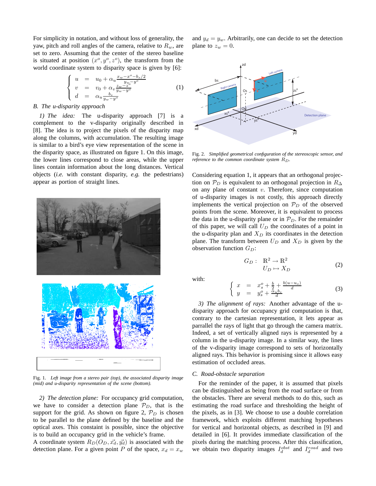For simplicity in notation, and without loss of generality, the yaw, pitch and roll angles of the camera, relative to  $R_w$ , are set to zero. Assuming that the center of the stereo baseline is situated at position  $(x^{\circ}, y^{\circ}, z^{\circ})$ , the transform from the world coordinate system to disparity space is given by [6]:

$$
\begin{cases}\n u = u_0 + \alpha_u \frac{x_w - x^{\circ} - b_s/2}{y_w - y^{\circ}} \\
v = v_0 + \alpha_v \frac{z_w - z^{\circ}}{y_w - y^{\circ}} \\
d = \alpha_u \frac{b_s}{y_w - y^{\circ}}\n\end{cases}
$$
\n(1)

#### *B. The u-disparity approach*

*1) The idea:* The u-disparity approach [7] is a complement to the v-disparity originally described in [8]. The idea is to project the pixels of the disparity map along the columns, with accumulation. The resulting image is similar to a bird's eye view representation of the scene in the disparity space, as illustrated on figure 1. On this image, the lower lines correspond to close areas, while the upper lines contain information about the long distances. Vertical objects (*i.e.* with constant disparity, *e.g.* the pedestrians) appear as portion of straight lines.



Fig. 1. *Left image from a stereo pair (top), the associated disparity image (mid) and u-disparity representation of the scene (bottom).*

*2) The detection plane:* For occupancy grid computation, we have to consider a detection plane  $\mathcal{P}_D$ , that is the support for the grid. As shown on figure 2,  $\mathcal{P}_D$  is chosen to be parallel to the plane defined by the baseline and the optical axes. This constaint is possible, since the objective is to build an occupancy grid in the vehicle's frame.

A coordinate system  $R_D(O_D, \vec{x_d}, \vec{y_d})$  is associated with the detection plane. For a given point P of the space,  $x_d = x_w$ 

and  $y_d = y_w$ . Arbitrarily, one can decide to set the detection plane to  $z_w = 0$ .



Fig. 2. *Simplified geometrical configuration of the stereoscopic sensor, and reference to the common coordinate system*  $R_D$ *.* 

Considering equation 1, it appears that an orthogonal projection on  $\mathcal{P}_D$  is equivalent to an orthogonal projection in  $R_{\Delta}$ on any plane of constant  $v$ . Therefore, since computation of u-disparity images is not costly, this approach directly implements the vertical projection on  $\mathcal{P}_D$  of the observed points from the scene. Moreover, it is equivalent to process the data in the u-disparity plane or in  $\mathcal{P}_D$ . For the remainder of this paper, we will call  $U_D$  the coordinates of a point in the u-disparity plan and  $X_D$  its coordinates in the detection plane. The transform between  $U_D$  and  $X_D$  is given by the observation function  $G_D$ :

$$
G_D: \quad \mathbb{R}^2 \to \mathbb{R}^2
$$

$$
U_D \mapsto X_D \tag{2}
$$

with:

$$
\begin{cases}\n x = x_s^o + \frac{b}{2} + \frac{b(u-u_o)}{d} \\
y = y_s^o + \frac{\alpha_u b_s}{d}\n\end{cases}
$$
\n(3)

*3) The alignment of rays:* Another advantage of the udisparity approach for occupancy grid computation is that, contrary to the cartesian representation, it lets appear as parrallel the rays of light that go through the camera matrix. Indeed, a set of vertically aligned rays is represented by a column in the u-disparity image. In a similar way, the lines of the v-disparity image correspond to sets of horizontally aligned rays. This behavior is promising since it allows easy estimation of occluded areas.

## *C. Road-obstacle separation*

For the reminder of the paper, it is assumed that pixels can be distinguished as being from the road surface or from the obstacles. There are several methods to do this, such as estimating the road surface and thresholding the height of the pixels, as in [3]. We choose to use a double correlation framework, which exploits different matching hypotheses for vertical and horizontal objects, as described in [9] and detailed in [6]. It provides immediate classification of the pixels during the matching process. After this classification, we obtain two disparity images  $I_d^{obst}$  and  $I_d^{road}$  and two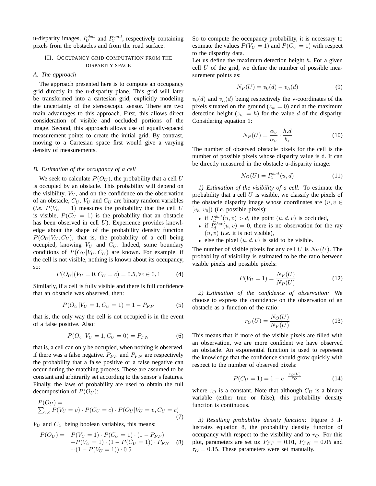u-disparity images,  $I_U^{obst}$  and  $I_U^{road}$ , respectively containing pixels from the obstacles and from the road surface.

# III. OCCUPANCY GRID COMPUTATION FROM THE DISPARITY SPACE

# *A. The approach*

The approach presented here is to compute an occupancy grid directly in the u-disparity plane. This grid will later be transformed into a cartesian grid, explicitly modeling the uncertainty of the stereoscopic sensor. There are two main advantages to this approach. First, this allows direct consideration of visible and occluded portions of the image. Second, this approach allows use of equally-spaced measurement points to create the initial grid. By contrast, moving to a Cartesian space first would give a varying density of measurements.

# *B. Estimation of the occupancy of a cell*

We seek to calculate  $P(O_U)$ , the probability that a cell U is occupied by an obstacle. This probability will depend on the visibility,  $V_U$ , and on the confidence on the observation of an obstacle,  $C_U$ .  $V_U$  and  $C_U$  are binary random variables (*i.e.*  $P(V_U = 1)$  measures the probability that the cell U is visible,  $P(C_U = 1)$  is the probability that an obstacle has been observed in cell  $U$ ). Experience provides knowledge about the shape of the probability density function  $P(O_U | V_U, C_U)$ , that is, the probability of a cell being occupied, knowing  $V_U$  and  $C_U$ . Indeed, some boundary conditions of  $P(O_U | V_U, C_U)$  are known. For example, if the cell is not visible, nothing is known about its occupancy, so:

$$
P(O_U | (V_U = 0, C_U = c) = 0.5, \forall c \in 0, 1 \tag{4}
$$

Similarly, if a cell is fully visible and there is full confidence that an obstacle was observed, then:

$$
P(O_U | V_U = 1, C_U = 1) = 1 - P_{FP}
$$
\n<sup>(5)</sup>

that is, the only way the cell is not occupied is in the event of a false positive. Also:

$$
P(O_U|V_U = 1, C_U = 0) = P_{FN}
$$
 (6)

that is, a cell can only be occupied, when nothing is observed, if there was a false negative.  $P_{FP}$  and  $P_{FN}$  are respectively the probability that a false positive or a false negative can occur during the matching process. These are assumed to be constant and arbitrarily set according to the sensor's features. Finally, the laws of probability are used to obtain the full decomposition of  $P(O_U)$ :

$$
P(O_U) = \sum_{v,c} P(V_U = v) \cdot P(C_U = c) \cdot P(O_U | V_U = v, C_U = c)
$$
\n(7)

 $V_U$  and  $C_U$  being boolean variables, this means:

$$
P(O_U) = P(V_U = 1) \cdot P(C_U = 1) \cdot (1 - P_{FP})
$$
  
+P(V\_U = 1) \cdot (1 - P(C\_U = 1)) \cdot P\_{FN} (8)  
+ (1 - P(V\_U = 1)) \cdot 0.5

So to compute the occupancy probability, it is necessary to estimate the values  $P(V_U = 1)$  and  $P(C_U = 1)$  with respect to the disparity data.

Let us define the maximum detection height  $h$ . For a given cell  $U$  of the grid, we define the number of possible measurement points as:

$$
N_P(U) = v_0(d) - v_h(d)
$$
 (9)

 $v_0(d)$  and  $v_h(d)$  being respectively the v-coordinates of the pixels situated on the ground ( $z_w = 0$ ) and at the maximum detection height ( $z_w = h$ ) for the value d of the disparity. Considering equation 1:

$$
N_P(U) = \frac{\alpha_v}{\alpha_u} \cdot \frac{h.d}{b_s} \tag{10}
$$

The number of observed obstacle pixels for the cell is the number of possible pixels whose disparity value is d. It can be directly measured in the obstacle u-disparity image:

$$
N_O(U) = I_U^{obst}(u, d)
$$
\n(11)

*1) Estimation of the visibility of a cell:* To estimate the probability that a cell  $U$  is visible, we classify the pixels of the obstacle disparity image whose coordinates are  $(u, v \in$  $[v_h, v_0]$ ) (*i.e.* possible pixels):

- if  $I_d^{obst}(u, v) > d$ , the point  $(u, d, v)$  is occluded,
- if  $I_d^{obst}(u, v) = 0$ , there is no observation for the ray  $(u, v)$  (*i.e.* it is not visible),
- else the pixel  $(u, d, v)$  is said to be visible.

The number of visible pixels for any cell U is  $N_V(U)$ . The probability of visibility is estimated to be the ratio between visible pixels and possible pixels:

$$
P(V_U = 1) = \frac{N_V(U)}{N_P(U)}
$$
(12)

*2) Estimation of the confidence of observation:* We choose to express the confidence on the observation of an obstacle as a function of the ratio:

$$
r_O(U) = \frac{N_O(U)}{N_V(U)}\tag{13}
$$

This means that if more of the visible pixels are filled with an observation, we are more confident we have observed an obstacle. An exponential function is used to represent the knowledge that the confidence should grow quickly with respect to the number of observed pixels:

$$
P(C_U = 1) = 1 - e^{-\frac{r_O(U)}{\tau_O}} \tag{14}
$$

where  $\tau_O$  is a constant. Note that although  $C_U$  is a binary variable (either true or false), this probability density function is continuous.

*3) Resulting probability density function:* Figure 3 illustrates equation 8, the probability density function of occupancy with respect to the visibility and to  $r_O$ . For this plot, parameters are set to:  $P_{FP} = 0.01, P_{FN} = 0.05$  and  $\tau_O = 0.15$ . These parameters were set manually.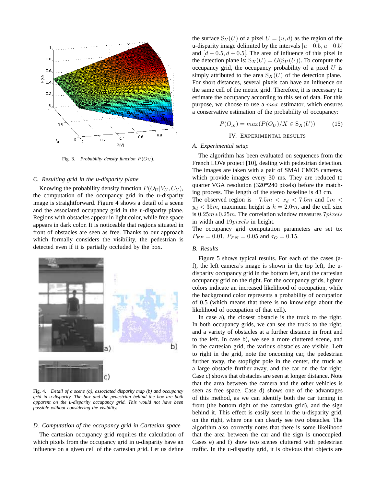

Fig. 3. *Probability density function*  $P(O_U)$ *.* 

#### *C. Resulting grid in the u-disparity plane*

Knowing the probability density function  $P(O_U | V_U, C_U)$ , the computation of the occupancy grid in the u-disparity image is straightforward. Figure 4 shows a detail of a scene and the associated occupancy grid in the u-disparity plane. Regions with obstacles appear in light color, while free space appears in dark color. It is noticeable that regions situated in front of obstacles are seen as free. Thanks to our approach which formally considers the visibility, the pedestrian is detected even if it is partially occluded by the box.



Fig. 4. *Detail of a scene (a), associated disparity map (b) and occupancy grid in u-disparity. The box and the pedestrian behind the box are both apparent on the u-disparity occupancy grid. This would not have been possible without considering the visibility.*

#### *D. Computation of the occupancy grid in Cartesian space*

The cartesian occupancy grid requires the calculation of which pixels from the occupancy grid in u-disparity have an influence on a given cell of the cartesian grid. Let us define

the surface  $S_U(U)$  of a pixel  $U = (u, d)$  as the region of the u-disparity image delimited by the intervals  $[u−0.5, u+0.5[$ and  $[d - 0.5, d + 0.5]$ . The area of influence of this pixel in the detection plane is:  $S_X(U) = G(S_U(U))$ . To compute the occupancy grid, the occupancy probability of a pixel  $U$  is simply attributed to the area  $S_X(U)$  of the detection plane. For short distances, several pixels can have an influence on the same cell of the metric grid. Therefore, it is necessary to estimate the occupancy according to this set of data. For this purpose, we choose to use a  $max$  estimator, which ensures a conservative estimation of the probability of occupancy:

$$
P(O_X) = max(P(O_U)/X \in S_X(U))
$$
 (15)

# IV. EXPERIMENTAL RESULTS

## *A. Experimental setup*

The algorithm has been evaluated on sequences from the French LOVe project [10], dealing with pedestrian detection. The images are taken with a pair of SMAl CMOS cameras, which provide images every 30 ms. They are reduced to quarter VGA resolution (320\*240 pixels) before the matching process. The length of the stereo baseline is 43 cm.

The observed region is  $-7.5m < x_d < 7.5m$  and 0m <  $y_d < 35m$ , maximum height is  $h = 2.0m$ , and the cell size is 0.25m∗0.25m. The correlation window measures 7pixels in width and 19pixels in height.

The occupancy grid computation parameters are set to:  $P_{FP} = 0.01, P_{FN} = 0.05$  and  $\tau_Q = 0.15$ .

#### *B. Results*

Figure 5 shows typical results. For each of the cases (af), the left camera's image is shown in the top left, the udisparity occupancy grid in the bottom left, and the cartesian occupancy grid on the right. For the occupancy grids, lighter colors indicate an increased likelihood of occupation, while the background color represents a probability of occupation of 0.5 (which means that there is no knowledge about the likelihood of occupation of that cell).

In case a), the closest obstacle is the truck to the right. In both occupancy grids, we can see the truck to the right, and a variety of obstacles at a further distance in front and to the left. In case b), we see a more cluttered scene, and in the cartesian grid, the various obstacles are visible. Left to right in the grid, note the oncoming car, the pedestrian further away, the stoplight pole in the center, the truck as a large obstacle further away, and the car on the far right. Case c) shows that obstacles are seen at longer distance. Note that the area between the camera and the other vehicles is seen as free space. Case d) shows one of the advantages of this method, as we can identify both the car turning in front (the bottom right of the cartesian grid), and the sign behind it. This effect is easily seen in the u-disparity grid, on the right, where one can clearly see two obstacles. The algorithm also correctly notes that there is some likelihood that the area between the car and the sign is unoccupied. Cases e) and f) show two scenes cluttered with pedestrian traffic. In the u-disparity grid, it is obvious that objects are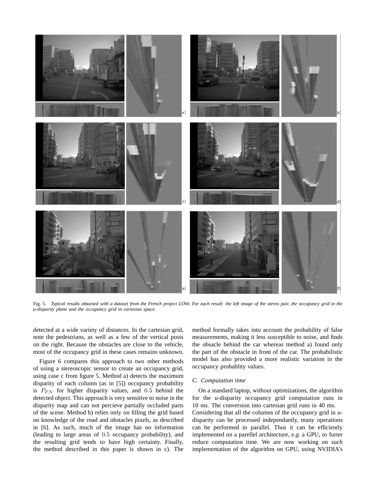

Fig. 5. *Typical results obtained with a dataset from the French project LOVe. For each result: the left image of the stereo pair, the occupancy grid in the u-disparity plane and the occupancy grid in cartesian space.*

detected at a wide variety of distances. In the cartesian grid, note the pedestrians, as well as a few of the vertical posts on the right. Because the obstacles are close to the vehicle, most of the occupancy grid in these cases remains unknown.

Figure 6 compares this approach to two other methods of using a stereoscopic sensor to create an occupancy grid, using case c from figure 5. Method a) detects the maximum disparity of each column (as in [5]) occupancy probability is  $P_{FN}$  for higher disparity values, and 0.5 behind the detected object. This approach is very sensitive to noise in the disparity map and can not percieve partially occluded parts of the scene. Method b) relies only on filling the grid based on knowledge of the road and obstacles pixels, as described in [6]. As such, much of the image has no information (leading to large areas of 0.5 occupancy probability), and the resulting grid tends to have high certainty. Finally, the method described in this paper is shown in c). The method formally takes into account the probability of false measurements, making it less susceptible to noise, and finds the obsacle behind the car whereas method a) found only the part of the obstacle in front of the car. The probabilistic model has also provided a more realistic variation in the occupancy probablity values.

## *C. Computation time*

On a standard laptop, without optimizations, the algorithm for the u-disparity occupancy grid computation runs in 10 ms. The conversion into cartesian grid runs in 40 ms. Considering that all the columns of the occupancy grid in udisparity can be processed independantly, many operations can be performed in parallel. Thus it can be efficiently implemented on a parellel architecture, *e.g.* a GPU, to furter reduce computation time. We are now working on such implementation of the algorithm on GPU, using NVIDIA's